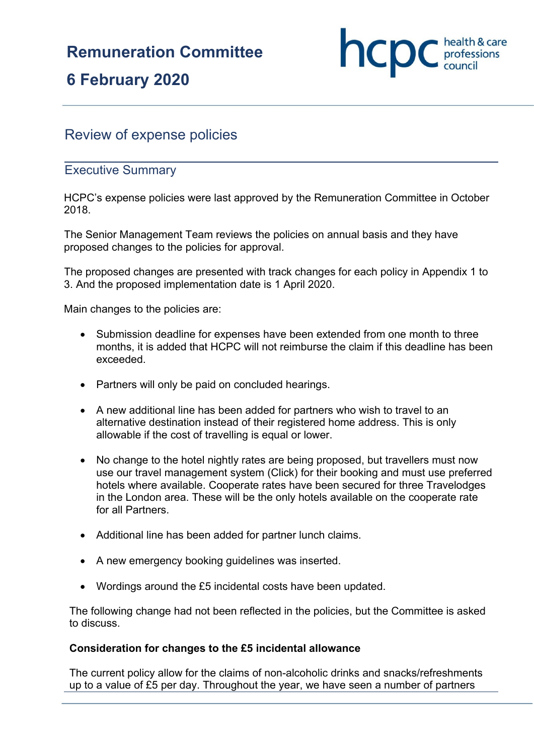# **Remuneration Committee**

# **6 February 2020**



# Review of expense policies

# Executive Summary

HCPC's expense policies were last approved by the Remuneration Committee in October 2018.

The Senior Management Team reviews the policies on annual basis and they have proposed changes to the policies for approval.

The proposed changes are presented with track changes for each policy in Appendix 1 to 3. And the proposed implementation date is 1 April 2020.

Main changes to the policies are:

- Submission deadline for expenses have been extended from one month to three months, it is added that HCPC will not reimburse the claim if this deadline has been exceeded.
- Partners will only be paid on concluded hearings.
- A new additional line has been added for partners who wish to travel to an alternative destination instead of their registered home address. This is only allowable if the cost of travelling is equal or lower.
- No change to the hotel nightly rates are being proposed, but travellers must now use our travel management system (Click) for their booking and must use preferred hotels where available. Cooperate rates have been secured for three Travelodges in the London area. These will be the only hotels available on the cooperate rate for all Partners.
- Additional line has been added for partner lunch claims.
- A new emergency booking guidelines was inserted.
- Wordings around the £5 incidental costs have been updated.

The following change had not been reflected in the policies, but the Committee is asked to discuss.

## **Consideration for changes to the £5 incidental allowance**

The current policy allow for the claims of non-alcoholic drinks and snacks/refreshments up to a value of £5 per day. Throughout the year, we have seen a number of partners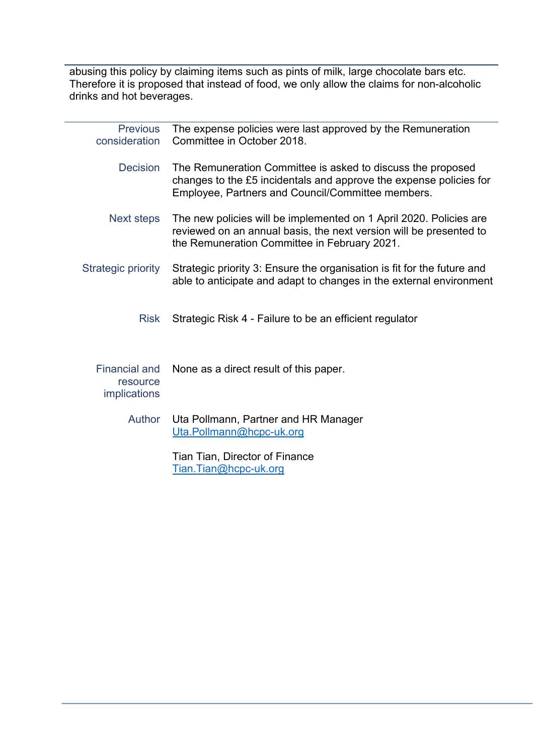abusing this policy by claiming items such as pints of milk, large chocolate bars etc. Therefore it is proposed that instead of food, we only allow the claims for non-alcoholic drinks and hot beverages.

| <b>Previous</b><br>consideration                 | The expense policies were last approved by the Remuneration<br>Committee in October 2018.                                                                                                |
|--------------------------------------------------|------------------------------------------------------------------------------------------------------------------------------------------------------------------------------------------|
| <b>Decision</b>                                  | The Remuneration Committee is asked to discuss the proposed<br>changes to the £5 incidentals and approve the expense policies for<br>Employee, Partners and Council/Committee members.   |
| Next steps                                       | The new policies will be implemented on 1 April 2020. Policies are<br>reviewed on an annual basis, the next version will be presented to<br>the Remuneration Committee in February 2021. |
| <b>Strategic priority</b>                        | Strategic priority 3: Ensure the organisation is fit for the future and<br>able to anticipate and adapt to changes in the external environment                                           |
| <b>Risk</b>                                      | Strategic Risk 4 - Failure to be an efficient regulator                                                                                                                                  |
| <b>Financial and</b><br>resource<br>implications | None as a direct result of this paper.                                                                                                                                                   |
| <b>Author</b>                                    | Uta Pollmann, Partner and HR Manager<br>Uta.Pollmann@hcpc-uk.org                                                                                                                         |
|                                                  | Tian Tian, Director of Finance<br>Tian.Tian@hcpc-uk.org                                                                                                                                  |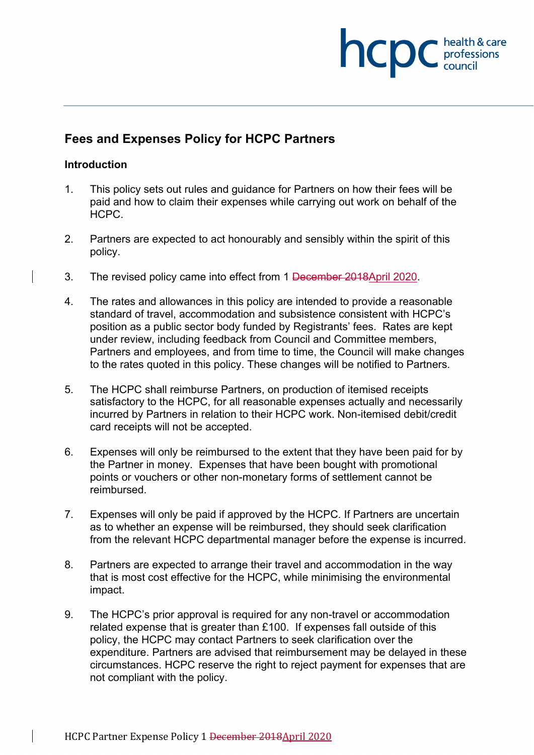# health & care hcpc professions<br>council

# **Fees and Expenses Policy for HCPC Partners**

# **Introduction**

- 1. This policy sets out rules and guidance for Partners on how their fees will be paid and how to claim their expenses while carrying out work on behalf of the HCPC.
- 2. Partners are expected to act honourably and sensibly within the spirit of this policy.
- 3. The revised policy came into effect from 1 December 2018April 2020.
- 4. The rates and allowances in this policy are intended to provide a reasonable standard of travel, accommodation and subsistence consistent with HCPC's position as a public sector body funded by Registrants' fees. Rates are kept under review, including feedback from Council and Committee members, Partners and employees, and from time to time, the Council will make changes to the rates quoted in this policy. These changes will be notified to Partners.
- 5. The HCPC shall reimburse Partners, on production of itemised receipts satisfactory to the HCPC, for all reasonable expenses actually and necessarily incurred by Partners in relation to their HCPC work. Non-itemised debit/credit card receipts will not be accepted.
- 6. Expenses will only be reimbursed to the extent that they have been paid for by the Partner in money. Expenses that have been bought with promotional points or vouchers or other non-monetary forms of settlement cannot be reimbursed.
- 7. Expenses will only be paid if approved by the HCPC. If Partners are uncertain as to whether an expense will be reimbursed, they should seek clarification from the relevant HCPC departmental manager before the expense is incurred.
- 8. Partners are expected to arrange their travel and accommodation in the way that is most cost effective for the HCPC, while minimising the environmental impact.
- 9. The HCPC's prior approval is required for any non-travel or accommodation related expense that is greater than £100. If expenses fall outside of this policy, the HCPC may contact Partners to seek clarification over the expenditure. Partners are advised that reimbursement may be delayed in these circumstances. HCPC reserve the right to reject payment for expenses that are not compliant with the policy.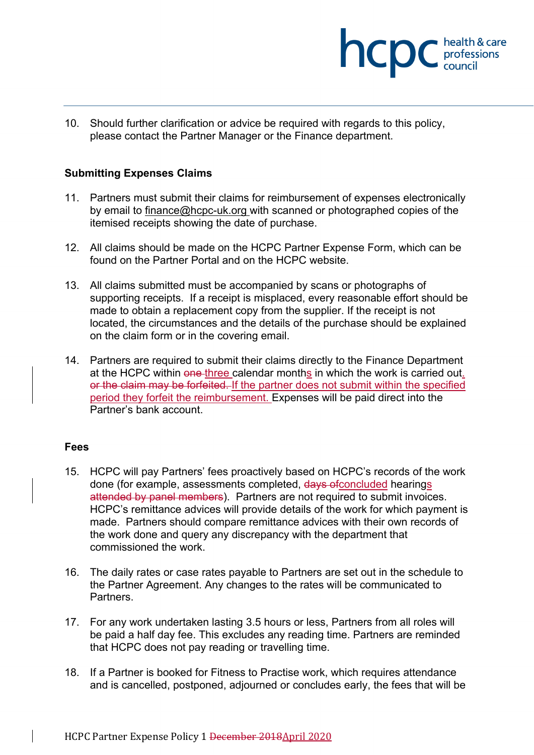

10. Should further clarification or advice be required with regards to this policy, please contact the Partner Manager or the Finance department.

# **Submitting Expenses Claims**

- 11. Partners must submit their claims for reimbursement of expenses electronically by email to [finance@hcpc-uk.org](mailto:finance@hcpc-uk.org) with scanned or photographed copies of the itemised receipts showing the date of purchase.
- 12. All claims should be made on the HCPC Partner Expense Form, which can be found on the Partner Portal and on the HCPC website.
- 13. All claims submitted must be accompanied by scans or photographs of supporting receipts. If a receipt is misplaced, every reasonable effort should be made to obtain a replacement copy from the supplier. If the receipt is not located, the circumstances and the details of the purchase should be explained on the claim form or in the covering email.
- 14. Partners are required to submit their claims directly to the Finance Department at the HCPC within one three calendar months in which the work is carried out. or the claim may be forfeited. If the partner does not submit within the specified period they forfeit the reimbursement. Expenses will be paid direct into the Partner's bank account.

## **Fees**

- 15. HCPC will pay Partners' fees proactively based on HCPC's records of the work done (for example, assessments completed, days ofconcluded hearings attended by panel members). Partners are not required to submit invoices. HCPC's remittance advices will provide details of the work for which payment is made. Partners should compare remittance advices with their own records of the work done and query any discrepancy with the department that commissioned the work.
- 16. The daily rates or case rates payable to Partners are set out in the schedule to the Partner Agreement. Any changes to the rates will be communicated to **Partners**
- 17. For any work undertaken lasting 3.5 hours or less, Partners from all roles will be paid a half day fee. This excludes any reading time. Partners are reminded that HCPC does not pay reading or travelling time.
- 18. If a Partner is booked for Fitness to Practise work, which requires attendance and is cancelled, postponed, adjourned or concludes early, the fees that will be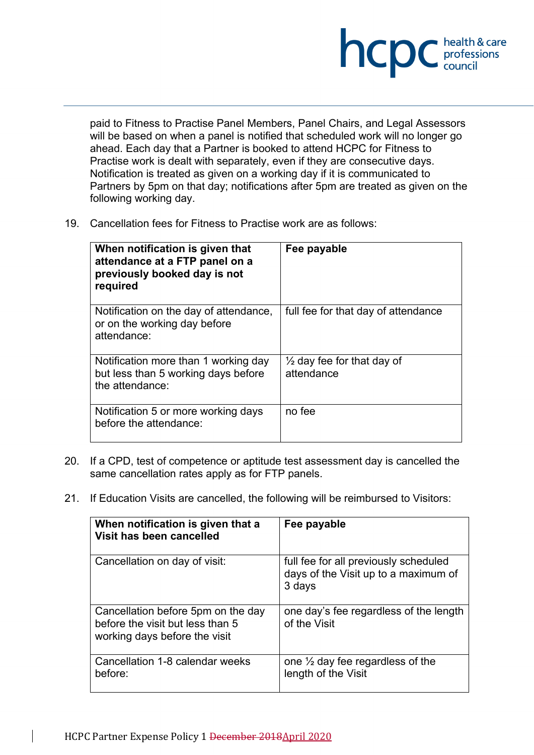

paid to Fitness to Practise Panel Members, Panel Chairs, and Legal Assessors will be based on when a panel is notified that scheduled work will no longer go ahead. Each day that a Partner is booked to attend HCPC for Fitness to Practise work is dealt with separately, even if they are consecutive days. Notification is treated as given on a working day if it is communicated to Partners by 5pm on that day; notifications after 5pm are treated as given on the following working day.

19. Cancellation fees for Fitness to Practise work are as follows:

| When notification is given that<br>attendance at a FTP panel on a<br>previously booked day is not<br>required | Fee payable                                         |
|---------------------------------------------------------------------------------------------------------------|-----------------------------------------------------|
| Notification on the day of attendance,<br>or on the working day before<br>attendance:                         | full fee for that day of attendance                 |
| Notification more than 1 working day<br>but less than 5 working days before<br>the attendance:                | $\frac{1}{2}$ day fee for that day of<br>attendance |
| Notification 5 or more working days<br>before the attendance:                                                 | no fee                                              |

- 20. If a CPD, test of competence or aptitude test assessment day is cancelled the same cancellation rates apply as for FTP panels.
- 21. If Education Visits are cancelled, the following will be reimbursed to Visitors:

| When notification is given that a<br>Visit has been cancelled                                           | Fee payable                                                                             |
|---------------------------------------------------------------------------------------------------------|-----------------------------------------------------------------------------------------|
| Cancellation on day of visit:                                                                           | full fee for all previously scheduled<br>days of the Visit up to a maximum of<br>3 days |
| Cancellation before 5pm on the day<br>before the visit but less than 5<br>working days before the visit | one day's fee regardless of the length<br>of the Visit                                  |
| Cancellation 1-8 calendar weeks<br>before:                                                              | one $\frac{1}{2}$ day fee regardless of the<br>length of the Visit                      |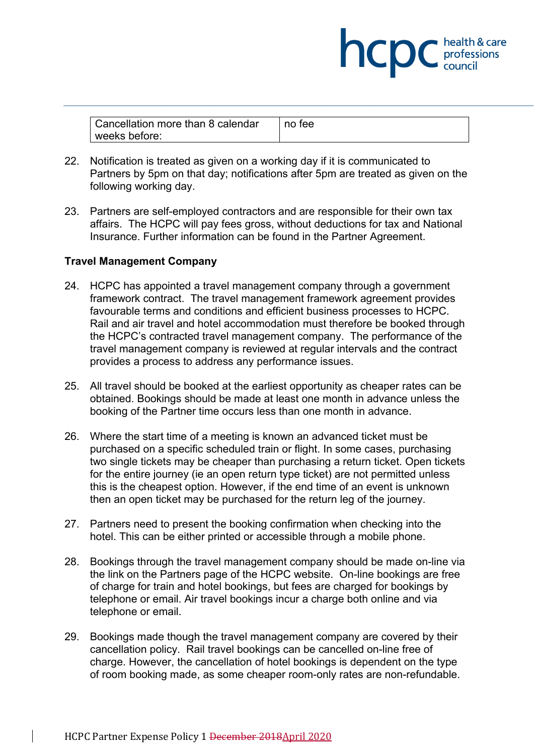| Cancellation more than 8 calendar | no tee |
|-----------------------------------|--------|
| l weeks before:                   |        |

**NCDC** health & care

- 22. Notification is treated as given on a working day if it is communicated to Partners by 5pm on that day; notifications after 5pm are treated as given on the following working day.
- 23. Partners are self-employed contractors and are responsible for their own tax affairs. The HCPC will pay fees gross, without deductions for tax and National Insurance. Further information can be found in the Partner Agreement.

# **Travel Management Company**

- <span id="page-5-0"></span>24. HCPC has appointed a travel management company through a government framework contract. The travel management framework agreement provides favourable terms and conditions and efficient business processes to HCPC. Rail and air travel and hotel accommodation must therefore be booked through the HCPC's contracted travel management company. The performance of the travel management company is reviewed at regular intervals and the contract provides a process to address any performance issues.
- 25. All travel should be booked at the earliest opportunity as cheaper rates can be obtained. Bookings should be made at least one month in advance unless the booking of the Partner time occurs less than one month in advance.
- 26. Where the start time of a meeting is known an advanced ticket must be purchased on a specific scheduled train or flight. In some cases, purchasing two single tickets may be cheaper than purchasing a return ticket. Open tickets for the entire journey (ie an open return type ticket) are not permitted unless this is the cheapest option. However, if the end time of an event is unknown then an open ticket may be purchased for the return leg of the journey.
- 27. Partners need to present the booking confirmation when checking into the hotel. This can be either printed or accessible through a mobile phone.
- 28. Bookings through the travel management company should be made on-line via the link on the Partners page of the HCPC website. On-line bookings are free of charge for train and hotel bookings, but fees are charged for bookings by telephone or email. Air travel bookings incur a charge both online and via telephone or email.
- 29. Bookings made though the travel management company are covered by their cancellation policy. Rail travel bookings can be cancelled on-line free of charge. However, the cancellation of hotel bookings is dependent on the type of room booking made, as some cheaper room-only rates are non-refundable.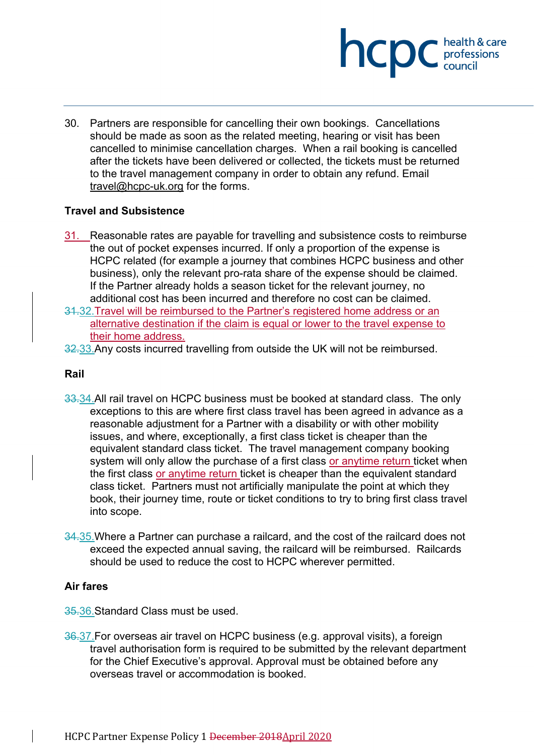

30. Partners are responsible for cancelling their own bookings. Cancellations should be made as soon as the related meeting, hearing or visit has been cancelled to minimise cancellation charges. When a rail booking is cancelled after the tickets have been delivered or collected, the tickets must be returned to the travel management company in order to obtain any refund. Email [travel@hcpc-uk.org](mailto:travel@hcpc-uk.org) for the forms.

# **Travel and Subsistence**

- 31. Reasonable rates are payable for travelling and subsistence costs to reimburse the out of pocket expenses incurred. If only a proportion of the expense is HCPC related (for example a journey that combines HCPC business and other business), only the relevant pro-rata share of the expense should be claimed. If the Partner already holds a season ticket for the relevant journey, no additional cost has been incurred and therefore no cost can be claimed.
- 31.32.Travel will be reimbursed to the Partner's registered home address or an alternative destination if the claim is equal or lower to the travel expense to their home address.
- 32.33. Any costs incurred travelling from outside the UK will not be reimbursed.

## **Rail**

- 33.34. All rail travel on HCPC business must be booked at standard class. The only exceptions to this are where first class travel has been agreed in advance as a reasonable adjustment for a Partner with a disability or with other mobility issues, and where, exceptionally, a first class ticket is cheaper than the equivalent standard class ticket. The travel management company booking system will only allow the purchase of a first class or anytime return ticket when the first class or anytime return ticket is cheaper than the equivalent standard class ticket. Partners must not artificially manipulate the point at which they book, their journey time, route or ticket conditions to try to bring first class travel into scope.
- 34.35.Where a Partner can purchase a railcard, and the cost of the railcard does not exceed the expected annual saving, the railcard will be reimbursed. Railcards should be used to reduce the cost to HCPC wherever permitted.

# **Air fares**

- 35.36.Standard Class must be used.
- 36.37.For overseas air travel on HCPC business (e.g. approval visits), a foreign travel authorisation form is required to be submitted by the relevant department for the Chief Executive's approval. Approval must be obtained before any overseas travel or accommodation is booked.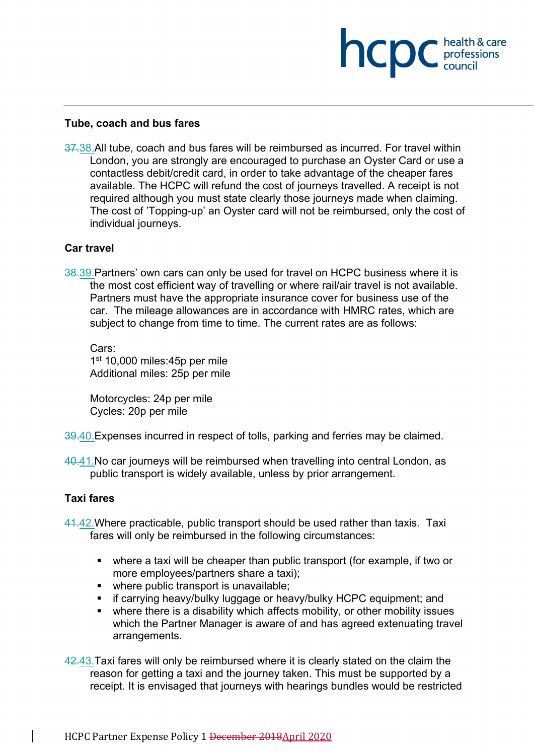## **Tube, coach and bus fares**

37.38.All tube, coach and bus fares will be reimbursed as incurred. For travel within London, you are strongly are encouraged to purchase an Oyster Card or use a contactless debit/credit card, in order to take advantage of the cheaper fares available. The HCPC will refund the cost of journeys travelled. A receipt is not required although you must state clearly those journeys made when claiming. The cost of 'Topping-up' an Oyster card will not be reimbursed, only the cost of individual journeys.

**NCDC** health & care

## **Car travel**

38.39.Partners' own cars can only be used for travel on HCPC business where it is the most cost efficient way of travelling or where rail/air travel is not available. Partners must have the appropriate insurance cover for business use of the car. The mileage allowances are in accordance with HMRC rates, which are subject to change from time to time. The current rates are as follows:

Cars: 1<sup>st</sup> 10,000 miles:45p per mile Additional miles: 25p per mile

Motorcycles: 24p per mile Cycles: 20p per mile

39.40. Expenses incurred in respect of tolls, parking and ferries may be claimed.

40.41. No car journeys will be reimbursed when travelling into central London, as public transport is widely available, unless by prior arrangement.

## **Taxi fares**

- 41.42.Where practicable, public transport should be used rather than taxis. Taxi fares will only be reimbursed in the following circumstances:
	- where a taxi will be cheaper than public transport (for example, if two or more employees/partners share a taxi);
	- where public transport is unavailable:
	- **EXT** if carrying heavy/bulky luggage or heavy/bulky HCPC equipment; and
	- where there is a disability which affects mobility, or other mobility issues which the Partner Manager is aware of and has agreed extenuating travel arrangements.
- 42.43.Taxi fares will only be reimbursed where it is clearly stated on the claim the reason for getting a taxi and the journey taken. This must be supported by a receipt. It is envisaged that journeys with hearings bundles would be restricted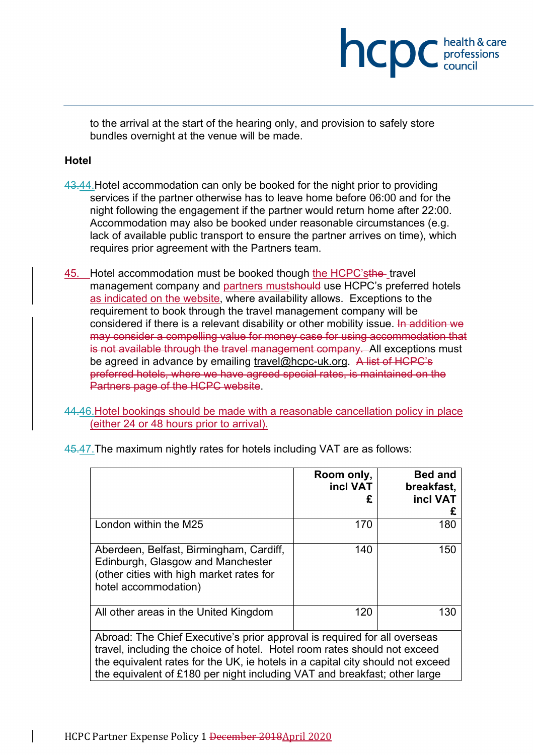to the arrival at the start of the hearing only, and provision to safely store bundles overnight at the venue will be made.

**NCDC** health & care

# **Hotel**

- 43.44. Hotel accommodation can only be booked for the night prior to providing services if the partner otherwise has to leave home before 06:00 and for the night following the engagement if the partner would return home after 22:00. Accommodation may also be booked under reasonable circumstances (e.g. lack of available public transport to ensure the partner arrives on time), which requires prior agreement with the Partners team.
- 45. Hotel accommodation must be booked though the HCPC'sthe travel management company and partners mustshould use HCPC's preferred hotels as indicated on the website, where availability allows. Exceptions to the requirement to book through the travel management company will be considered if there is a relevant disability or other mobility issue. In addition we may consider a compelling value for money case for using accommodation that is not available through the travel management company. All exceptions must be agreed in advance by emailing [travel@hcpc-uk.org.](mailto:travel@hcpc-uk.org) A list of HCPC's preferred hotels, where we have agreed special rates, is maintained on the Partners page of the HCPC website.

44.46.Hotel bookings should be made with a reasonable cancellation policy in place (either 24 or 48 hours prior to arrival).

|                                                                                                                                                                                                                                                                                                                       | Room only,<br>incl VAT | <b>Bed and</b><br>breakfast,<br>incl VAT |
|-----------------------------------------------------------------------------------------------------------------------------------------------------------------------------------------------------------------------------------------------------------------------------------------------------------------------|------------------------|------------------------------------------|
| London within the M25                                                                                                                                                                                                                                                                                                 | 170                    | 180                                      |
| Aberdeen, Belfast, Birmingham, Cardiff,<br>Edinburgh, Glasgow and Manchester<br>(other cities with high market rates for<br>hotel accommodation)                                                                                                                                                                      | 140                    | 150                                      |
| All other areas in the United Kingdom                                                                                                                                                                                                                                                                                 | 120                    | 130                                      |
| Abroad: The Chief Executive's prior approval is required for all overseas<br>travel, including the choice of hotel. Hotel room rates should not exceed<br>the equivalent rates for the UK, ie hotels in a capital city should not exceed<br>the equivalent of £180 per night including VAT and breakfast; other large |                        |                                          |

45.47.The maximum nightly rates for hotels including VAT are as follows: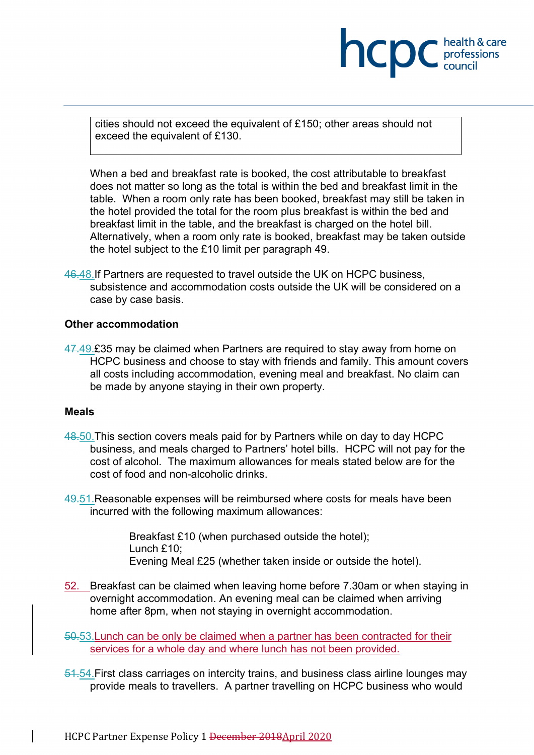cities should not exceed the equivalent of £150; other areas should not exceed the equivalent of £130.

**INCDC** *professions* 

health & care

When a bed and breakfast rate is booked, the cost attributable to breakfast does not matter so long as the total is within the bed and breakfast limit in the table. When a room only rate has been booked, breakfast may still be taken in the hotel provided the total for the room plus breakfast is within the bed and breakfast limit in the table, and the breakfast is charged on the hotel bill. Alternatively, when a room only rate is booked, breakfast may be taken outside the hotel subject to the £10 limit per paragraph [49.](#page-9-0)

46.48.If Partners are requested to travel outside the UK on HCPC business, subsistence and accommodation costs outside the UK will be considered on a case by case basis.

## **Other accommodation**

47.49.£35 may be claimed when Partners are required to stay away from home on HCPC business and choose to stay with friends and family. This amount covers all costs including accommodation, evening meal and breakfast. No claim can be made by anyone staying in their own property.

## **Meals**

- 48.50.This section covers meals paid for by Partners while on day to day HCPC business, and meals charged to Partners' hotel bills. HCPC will not pay for the cost of alcohol. The maximum allowances for meals stated below are for the cost of food and non-alcoholic drinks.
- <span id="page-9-0"></span>49.51.Reasonable expenses will be reimbursed where costs for meals have been incurred with the following maximum allowances:

Breakfast £10 (when purchased outside the hotel); Lunch  $f10$ ; Evening Meal £25 (whether taken inside or outside the hotel).

52. Breakfast can be claimed when leaving home before 7.30am or when staying in overnight accommodation. An evening meal can be claimed when arriving home after 8pm, when not staying in overnight accommodation.

50.53.Lunch can be only be claimed when a partner has been contracted for their services for a whole day and where lunch has not been provided.

51.54.First class carriages on intercity trains, and business class airline lounges may provide meals to travellers. A partner travelling on HCPC business who would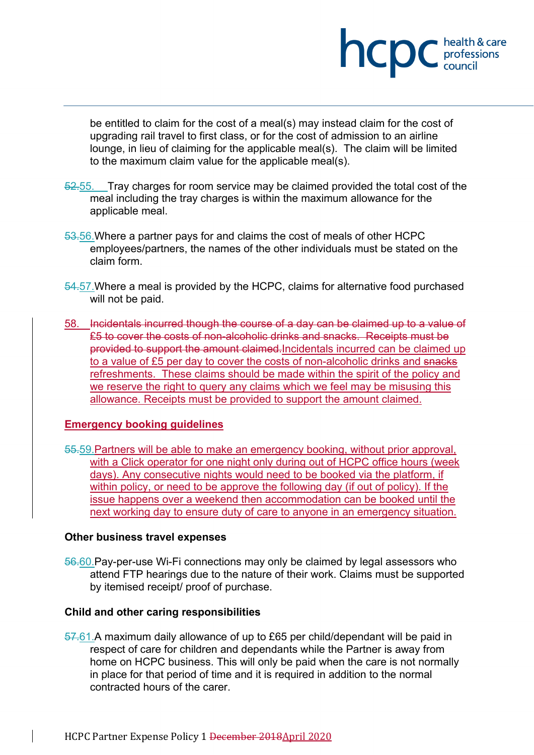

be entitled to claim for the cost of a meal(s) may instead claim for the cost of upgrading rail travel to first class, or for the cost of admission to an airline lounge, in lieu of claiming for the applicable meal(s). The claim will be limited to the maximum claim value for the applicable meal(s).

- 52.55. Tray charges for room service may be claimed provided the total cost of the meal including the tray charges is within the maximum allowance for the applicable meal.
- 53.56.Where a partner pays for and claims the cost of meals of other HCPC employees/partners, the names of the other individuals must be stated on the claim form.
- 54.57. Where a meal is provided by the HCPC, claims for alternative food purchased will not be paid.
- <span id="page-10-0"></span>58. Incidentals incurred though the course of a day can be claimed up to a value of £5 to cover the costs of non-alcoholic drinks and snacks. Receipts must be provided to support the amount claimed.Incidentals incurred can be claimed up to a value of £5 per day to cover the costs of non-alcoholic drinks and snacks refreshments. These claims should be made within the spirit of the policy and we reserve the right to query any claims which we feel may be misusing this allowance. Receipts must be provided to support the amount claimed.

# **Emergency booking guidelines**

55.59.Partners will be able to make an emergency booking, without prior approval, with a Click operator for one night only during out of HCPC office hours (week days). Any consecutive nights would need to be booked via the platform, if within policy, or need to be approve the following day (if out of policy). If the issue happens over a weekend then accommodation can be booked until the next working day to ensure duty of care to anyone in an emergency situation.

## **Other business travel expenses**

56.60. Pay-per-use Wi-Fi connections may only be claimed by legal assessors who attend FTP hearings due to the nature of their work. Claims must be supported by itemised receipt/ proof of purchase.

## **Child and other caring responsibilities**

57.61.A maximum daily allowance of up to £65 per child/dependant will be paid in respect of care for children and dependants while the Partner is away from home on HCPC business. This will only be paid when the care is not normally in place for that period of time and it is required in addition to the normal contracted hours of the carer.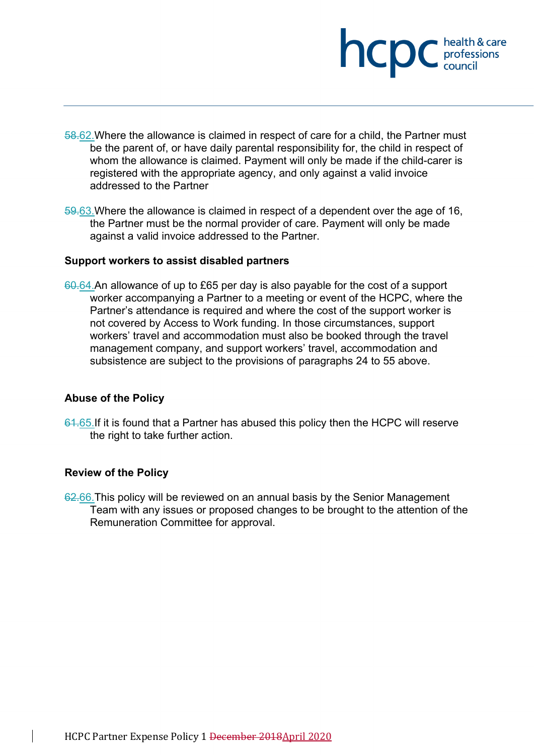

- 58.62.Where the allowance is claimed in respect of care for a child, the Partner must be the parent of, or have daily parental responsibility for, the child in respect of whom the allowance is claimed. Payment will only be made if the child-carer is registered with the appropriate agency, and only against a valid invoice addressed to the Partner
- 59.63.Where the allowance is claimed in respect of a dependent over the age of 16, the Partner must be the normal provider of care. Payment will only be made against a valid invoice addressed to the Partner.

## **Support workers to assist disabled partners**

60.64.An allowance of up to £65 per day is also payable for the cost of a support worker accompanying a Partner to a meeting or event of the HCPC, where the Partner's attendance is required and where the cost of the support worker is not covered by Access to Work funding. In those circumstances, support workers' travel and accommodation must also be booked through the travel management company, and support workers' travel, accommodation and subsistence are subject to the provisions of paragraphs [24](#page-5-0) to [55](#page-10-0) above.

## **Abuse of the Policy**

61.65. If it is found that a Partner has abused this policy then the HCPC will reserve the right to take further action.

### **Review of the Policy**

62.66. This policy will be reviewed on an annual basis by the Senior Management Team with any issues or proposed changes to be brought to the attention of the Remuneration Committee for approval.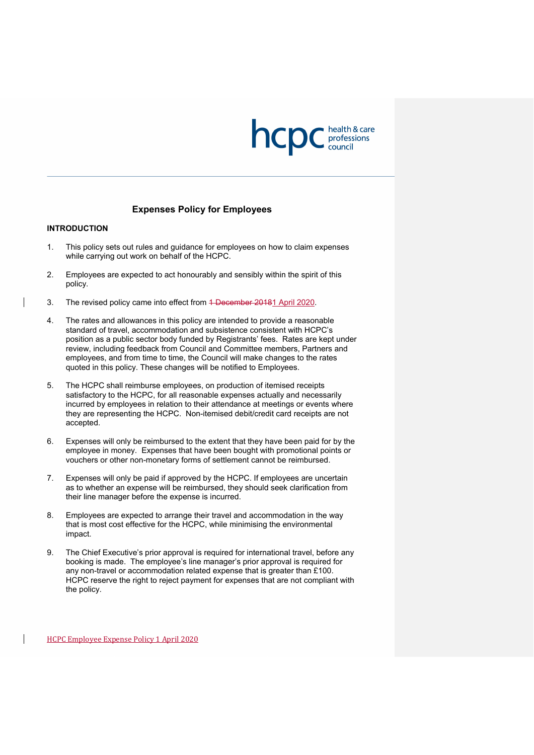

### **Expenses Policy for Employees**

#### **INTRODUCTION**

- 1. This policy sets out rules and guidance for employees on how to claim expenses while carrying out work on behalf of the HCPC.
- 2. Employees are expected to act honourably and sensibly within the spirit of this policy.
- 3. The revised policy came into effect from 4 December 20181 April 2020.
- 4. The rates and allowances in this policy are intended to provide a reasonable standard of travel, accommodation and subsistence consistent with HCPC's position as a public sector body funded by Registrants' fees. Rates are kept under review, including feedback from Council and Committee members, Partners and employees, and from time to time, the Council will make changes to the rates quoted in this policy. These changes will be notified to Employees.
- 5. The HCPC shall reimburse employees, on production of itemised receipts satisfactory to the HCPC, for all reasonable expenses actually and necessarily incurred by employees in relation to their attendance at meetings or events where they are representing the HCPC. Non-itemised debit/credit card receipts are not accepted.
- 6. Expenses will only be reimbursed to the extent that they have been paid for by the employee in money. Expenses that have been bought with promotional points or vouchers or other non-monetary forms of settlement cannot be reimbursed.
- 7. Expenses will only be paid if approved by the HCPC. If employees are uncertain as to whether an expense will be reimbursed, they should seek clarification from their line manager before the expense is incurred.
- 8. Employees are expected to arrange their travel and accommodation in the way that is most cost effective for the HCPC, while minimising the environmental impact.
- 9. The Chief Executive's prior approval is required for international travel, before any booking is made. The employee's line manager's prior approval is required for any non-travel or accommodation related expense that is greater than £100. HCPC reserve the right to reject payment for expenses that are not compliant with the policy.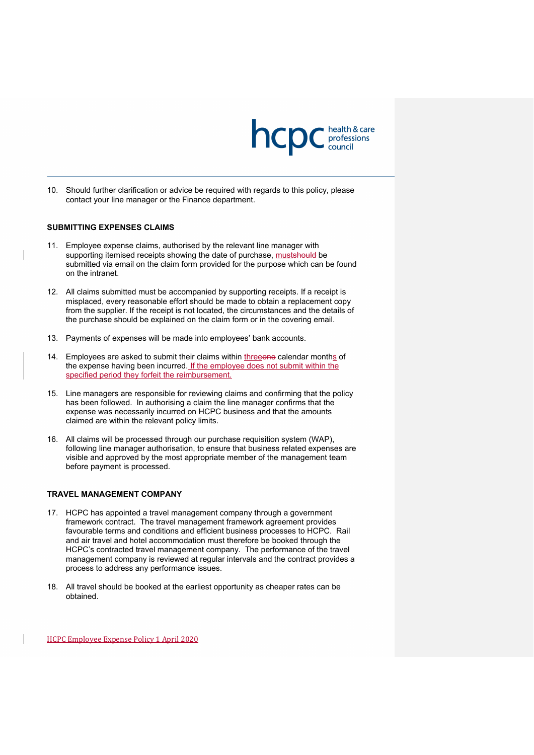

10. Should further clarification or advice be required with regards to this policy, please contact your line manager or the Finance department.

#### **SUBMITTING EXPENSES CLAIMS**

- 11. Employee expense claims, authorised by the relevant line manager with supporting itemised receipts showing the date of purchase, must should be submitted via email on the claim form provided for the purpose which can be found on the intranet.
- 12. All claims submitted must be accompanied by supporting receipts. If a receipt is misplaced, every reasonable effort should be made to obtain a replacement copy from the supplier. If the receipt is not located, the circumstances and the details of the purchase should be explained on the claim form or in the covering email.
- 13. Payments of expenses will be made into employees' bank accounts.
- 14. Employees are asked to submit their claims within threeone calendar months of the expense having been incurred. If the employee does not submit within the specified period they forfeit the reimbursement.
- 15. Line managers are responsible for reviewing claims and confirming that the policy has been followed. In authorising a claim the line manager confirms that the expense was necessarily incurred on HCPC business and that the amounts claimed are within the relevant policy limits.
- 16. All claims will be processed through our purchase requisition system (WAP), following line manager authorisation, to ensure that business related expenses are visible and approved by the most appropriate member of the management team before payment is processed.

#### **TRAVEL MANAGEMENT COMPANY**

- 17. HCPC has appointed a travel management company through a government framework contract. The travel management framework agreement provides favourable terms and conditions and efficient business processes to HCPC. Rail and air travel and hotel accommodation must therefore be booked through the HCPC's contracted travel management company. The performance of the travel management company is reviewed at regular intervals and the contract provides a process to address any performance issues.
- 18. All travel should be booked at the earliest opportunity as cheaper rates can be obtained.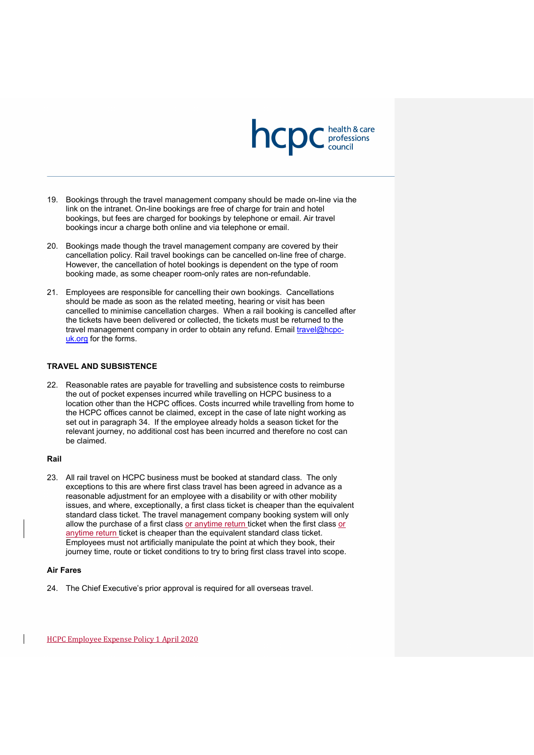

- 19. Bookings through the travel management company should be made on-line via the link on the intranet. On-line bookings are free of charge for train and hotel bookings, but fees are charged for bookings by telephone or email. Air travel bookings incur a charge both online and via telephone or email.
- 20. Bookings made though the travel management company are covered by their cancellation policy. Rail travel bookings can be cancelled on-line free of charge. However, the cancellation of hotel bookings is dependent on the type of room booking made, as some cheaper room-only rates are non-refundable.
- 21. Employees are responsible for cancelling their own bookings. Cancellations should be made as soon as the related meeting, hearing or visit has been cancelled to minimise cancellation charges. When a rail booking is cancelled after the tickets have been delivered or collected, the tickets must be returned to the travel management company in order to obtain any refund. Email [travel@hcpc](mailto:travel@hcpc-uk.org)[uk.org](mailto:travel@hcpc-uk.org) for the forms.

#### **TRAVEL AND SUBSISTENCE**

22. Reasonable rates are payable for travelling and subsistence costs to reimburse the out of pocket expenses incurred while travelling on HCPC business to a location other than the HCPC offices. Costs incurred while travelling from home to the HCPC offices cannot be claimed, except in the case of late night working as set out in paragraph [34.](#page-16-0) If the employee already holds a season ticket for the relevant journey, no additional cost has been incurred and therefore no cost can be claimed.

### **Rail**

23. All rail travel on HCPC business must be booked at standard class. The only exceptions to this are where first class travel has been agreed in advance as a reasonable adjustment for an employee with a disability or with other mobility issues, and where, exceptionally, a first class ticket is cheaper than the equivalent standard class ticket. The travel management company booking system will only allow the purchase of a first class or anytime return ticket when the first class or anytime return ticket is cheaper than the equivalent standard class ticket. Employees must not artificially manipulate the point at which they book, their journey time, route or ticket conditions to try to bring first class travel into scope.

#### **Air Fares**

24. The Chief Executive's prior approval is required for all overseas travel.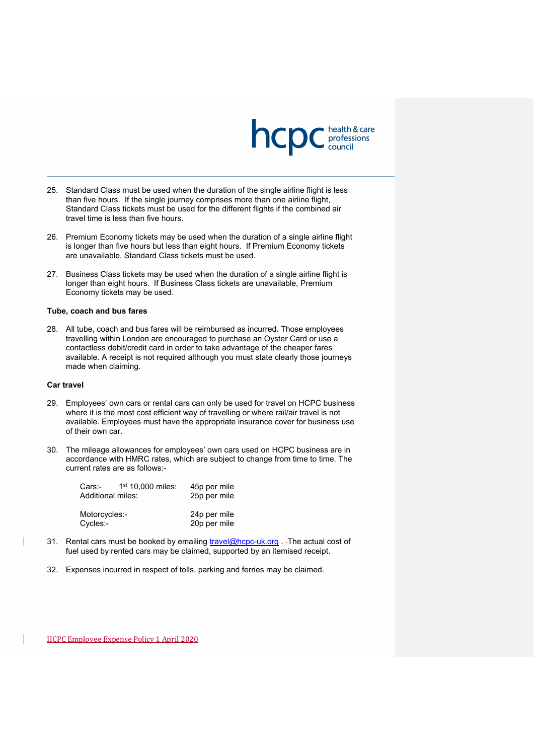

- 25. Standard Class must be used when the duration of the single airline flight is less than five hours. If the single journey comprises more than one airline flight, Standard Class tickets must be used for the different flights if the combined air travel time is less than five hours.
- 26. Premium Economy tickets may be used when the duration of a single airline flight is longer than five hours but less than eight hours. If Premium Economy tickets are unavailable, Standard Class tickets must be used.
- 27. Business Class tickets may be used when the duration of a single airline flight is longer than eight hours. If Business Class tickets are unavailable, Premium Economy tickets may be used.

#### **Tube, coach and bus fares**

28. All tube, coach and bus fares will be reimbursed as incurred. Those employees travelling within London are encouraged to purchase an Oyster Card or use a contactless debit/credit card in order to take advantage of the cheaper fares available. A receipt is not required although you must state clearly those journeys made when claiming.

#### **Car travel**

- 29. Employees' own cars or rental cars can only be used for travel on HCPC business where it is the most cost efficient way of travelling or where rail/air travel is not available. Employees must have the appropriate insurance cover for business use of their own car.
- <span id="page-15-0"></span>30. The mileage allowances for employees' own cars used on HCPC business are in accordance with HMRC rates, which are subject to change from time to time. The current rates are as follows:-

| Cars:-<br>Additional miles: | 1 <sup>st</sup> 10.000 miles | 45p per mile<br>25p per mile |
|-----------------------------|------------------------------|------------------------------|
| Motorcycles:-<br>Cycles:-   |                              | 24p per mile<br>20p per mile |

- 31. Rental cars must be booked by emailing [travel@hcpc-uk.org](mailto:travel@hcpc-uk.org) . The actual cost of fuel used by rented cars may be claimed, supported by an itemised receipt.
- 32. Expenses incurred in respect of tolls, parking and ferries may be claimed.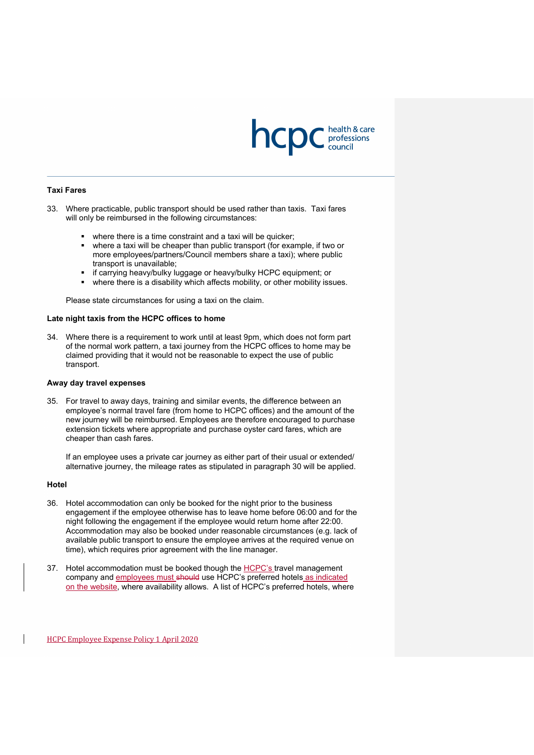

#### **Taxi Fares**

- 33. Where practicable, public transport should be used rather than taxis. Taxi fares will only be reimbursed in the following circumstances:
	- where there is a time constraint and a taxi will be quicker;
	- where a taxi will be cheaper than public transport (for example, if two or more employees/partners/Council members share a taxi); where public transport is unavailable;
	- if carrying heavy/bulky luggage or heavy/bulky HCPC equipment; or
	- where there is a disability which affects mobility, or other mobility issues.

Please state circumstances for using a taxi on the claim.

#### **Late night taxis from the HCPC offices to home**

<span id="page-16-0"></span>34. Where there is a requirement to work until at least 9pm, which does not form part of the normal work pattern, a taxi journey from the HCPC offices to home may be claimed providing that it would not be reasonable to expect the use of public transport.

#### **Away day travel expenses**

35. For travel to away days, training and similar events, the difference between an employee's normal travel fare (from home to HCPC offices) and the amount of the new journey will be reimbursed. Employees are therefore encouraged to purchase extension tickets where appropriate and purchase oyster card fares, which are cheaper than cash fares.

If an employee uses a private car journey as either part of their usual or extended/ alternative journey, the mileage rates as stipulated in paragraph [30](#page-15-0) will be applied.

#### **Hotel**

- 36. Hotel accommodation can only be booked for the night prior to the business engagement if the employee otherwise has to leave home before 06:00 and for the night following the engagement if the employee would return home after 22:00. Accommodation may also be booked under reasonable circumstances (e.g. lack of available public transport to ensure the employee arrives at the required venue on time), which requires prior agreement with the line manager.
- 37. Hotel accommodation must be booked though the HCPC's travel management company and employees must should use HCPC's preferred hotels as indicated on the website, where availability allows. A list of HCPC's preferred hotels, where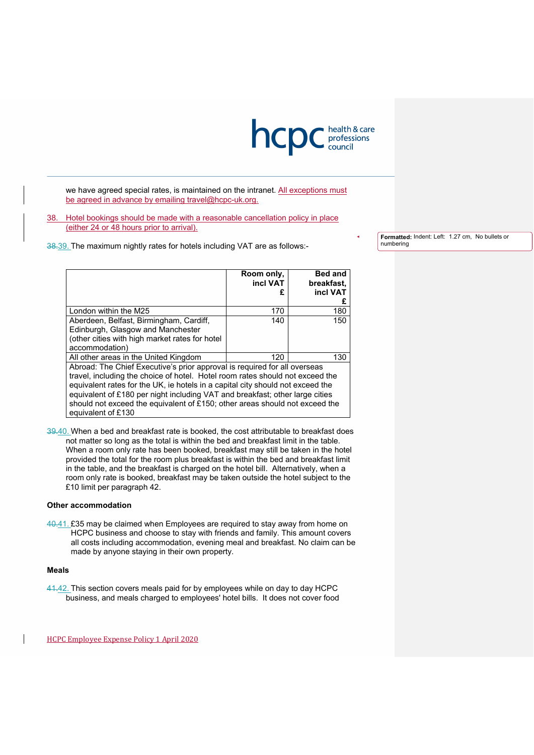

we have agreed special rates, is maintained on the intranet. All exceptions must be agreed in advance by emailing travel@hcpc-uk.org.

38. Hotel bookings should be made with a reasonable cancellation policy in place (either 24 or 48 hours prior to arrival).

38.39. The maximum nightly rates for hotels including VAT are as follows:-

**Formatted:** Indent: Left: 1.27 cm, No bullets or numbering

|                                                                                | Room only, | <b>Bed and</b> |  |
|--------------------------------------------------------------------------------|------------|----------------|--|
|                                                                                | incl VAT   | breakfast.     |  |
|                                                                                | £          | incl VAT       |  |
|                                                                                |            | £              |  |
| London within the M25                                                          | 170        | 180            |  |
| Aberdeen, Belfast, Birmingham, Cardiff,                                        | 140        | 150            |  |
| Edinburgh, Glasgow and Manchester                                              |            |                |  |
| (other cities with high market rates for hotel                                 |            |                |  |
| accommodation)                                                                 |            |                |  |
| All other areas in the United Kingdom                                          | 120        | 130            |  |
| Abroad: The Chief Executive's prior approval is required for all overseas      |            |                |  |
| travel, including the choice of hotel. Hotel room rates should not exceed the  |            |                |  |
| equivalent rates for the UK, ie hotels in a capital city should not exceed the |            |                |  |
| equivalent of £180 per night including VAT and breakfast; other large cities   |            |                |  |
| should not exceed the equivalent of £150; other areas should not exceed the    |            |                |  |
| equivalent of £130                                                             |            |                |  |

39.40. When a bed and breakfast rate is booked, the cost attributable to breakfast does not matter so long as the total is within the bed and breakfast limit in the table. When a room only rate has been booked, breakfast may still be taken in the hotel provided the total for the room plus breakfast is within the bed and breakfast limit in the table, and the breakfast is charged on the hotel bill. Alternatively, when a room only rate is booked, breakfast may be taken outside the hotel subject to the £10 limit per paragraph [42.](#page-18-0)

#### **Other accommodation**

40.41. £35 may be claimed when Employees are required to stay away from home on HCPC business and choose to stay with friends and family. This amount covers all costs including accommodation, evening meal and breakfast. No claim can be made by anyone staying in their own property.

#### **Meals**

41.42. This section covers meals paid for by employees while on day to day HCPC business, and meals charged to employees' hotel bills. It does not cover food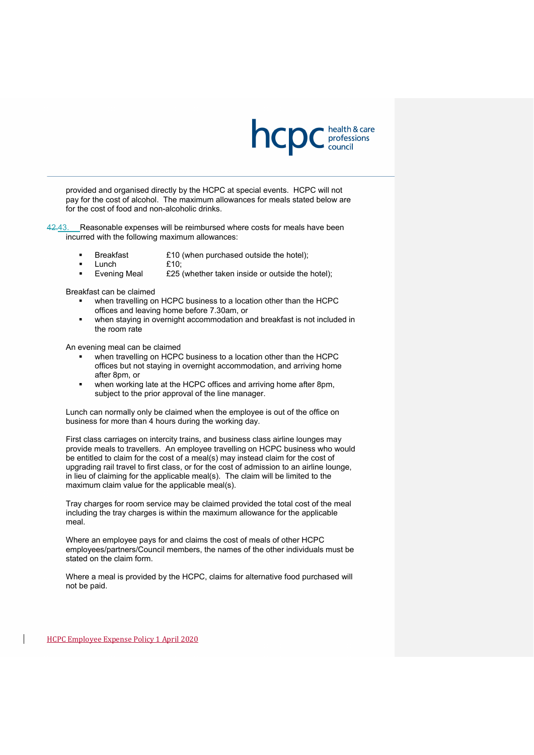

provided and organised directly by the HCPC at special events. HCPC will not pay for the cost of alcohol. The maximum allowances for meals stated below are for the cost of food and non-alcoholic drinks.

<span id="page-18-0"></span>42.43. Reasonable expenses will be reimbursed where costs for meals have been incurred with the following maximum allowances:

- Breakfast £10 (when purchased outside the hotel);
- $L$ unch  $f10$ ;
- **Evening Meal** £25 (whether taken inside or outside the hotel);

Breakfast can be claimed

- when travelling on HCPC business to a location other than the HCPC offices and leaving home before 7.30am, or
- when staying in overnight accommodation and breakfast is not included in the room rate

An evening meal can be claimed

- when travelling on HCPC business to a location other than the HCPC offices but not staying in overnight accommodation, and arriving home after 8pm, or
- when working late at the HCPC offices and arriving home after 8pm, subject to the prior approval of the line manager.

Lunch can normally only be claimed when the employee is out of the office on business for more than 4 hours during the working day.

First class carriages on intercity trains, and business class airline lounges may provide meals to travellers. An employee travelling on HCPC business who would be entitled to claim for the cost of a meal(s) may instead claim for the cost of upgrading rail travel to first class, or for the cost of admission to an airline lounge, in lieu of claiming for the applicable meal(s). The claim will be limited to the maximum claim value for the applicable meal(s).

Tray charges for room service may be claimed provided the total cost of the meal including the tray charges is within the maximum allowance for the applicable meal.

Where an employee pays for and claims the cost of meals of other HCPC employees/partners/Council members, the names of the other individuals must be stated on the claim form.

Where a meal is provided by the HCPC, claims for alternative food purchased will not be paid.

HCPC Employee Expense Policy 1 April 2020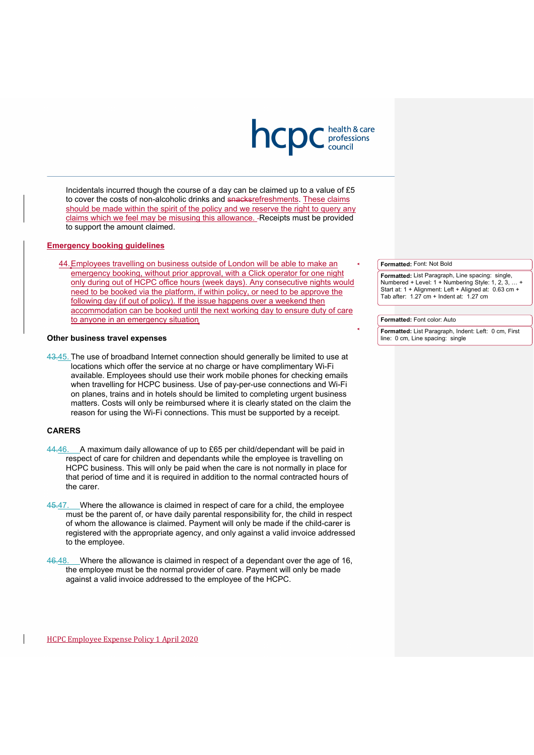

Incidentals incurred though the course of a day can be claimed up to a value of £5 to cover the costs of non-alcoholic drinks and snacksrefreshments. These claims should be made within the spirit of the policy and we reserve the right to query any claims which we feel may be misusing this allowance. - Receipts must be provided to support the amount claimed.

### **Emergency booking guidelines**

44.Employees travelling on business outside of London will be able to make an emergency booking, without prior approval, with a Click operator for one night only during out of HCPC office hours (week days). Any consecutive nights would need to be booked via the platform, if within policy, or need to be approve the following day (if out of policy). If the issue happens over a weekend then accommodation can be booked until the next working day to ensure duty of care to anyone in an emergency situation

#### **Other business travel expenses**

43.45. The use of broadband Internet connection should generally be limited to use at locations which offer the service at no charge or have complimentary Wi-Fi available. Employees should use their work mobile phones for checking emails when travelling for HCPC business. Use of pay-per-use connections and Wi-Fi on planes, trains and in hotels should be limited to completing urgent business matters. Costs will only be reimbursed where it is clearly stated on the claim the reason for using the Wi-Fi connections. This must be supported by a receipt.

### **CARERS**

- 44.46. A maximum daily allowance of up to £65 per child/dependant will be paid in respect of care for children and dependants while the employee is travelling on HCPC business. This will only be paid when the care is not normally in place for that period of time and it is required in addition to the normal contracted hours of the carer.
- 45.47. Where the allowance is claimed in respect of care for a child, the employee must be the parent of, or have daily parental responsibility for, the child in respect of whom the allowance is claimed. Payment will only be made if the child-carer is registered with the appropriate agency, and only against a valid invoice addressed to the employee.
- 46.48. Where the allowance is claimed in respect of a dependant over the age of 16, the employee must be the normal provider of care. Payment will only be made against a valid invoice addressed to the employee of the HCPC.

#### **Formatted:** Font: Not Bold

**Formatted:** List Paragraph, Line spacing: single, Numbered + Level: 1 + Numbering Style: 1, 2, 3, … + Start at: 1 + Alignment: Left + Aligned at: 0.63 cm + Tab after:  $1.27$  cm + Indent at:  $1.27$  cm

#### **Formatted:** Font color: Auto

**Formatted:** List Paragraph, Indent: Left: 0 cm, First line: 0 cm, Line spacing: single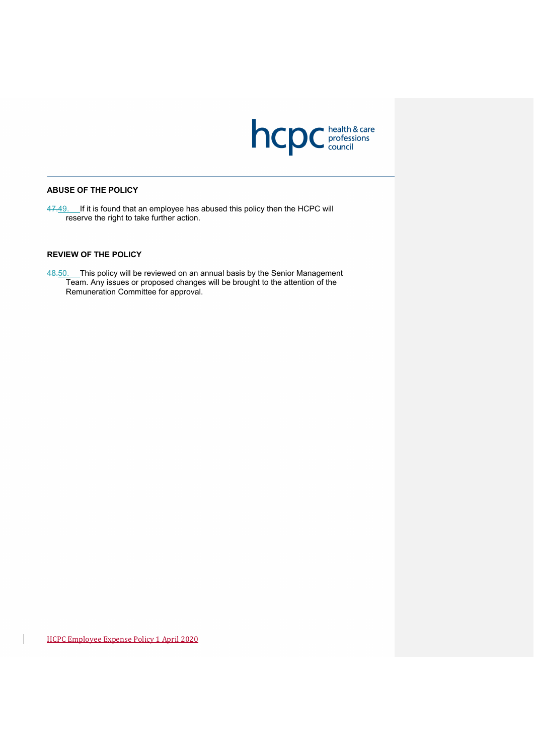

### **ABUSE OF THE POLICY**

47.49. If it is found that an employee has abused this policy then the HCPC will reserve the right to take further action.

### **REVIEW OF THE POLICY**

48<u>.50.</u> This policy will be reviewed on an annual basis by the Senior Management Team. Any issues or proposed changes will be brought to the attention of the Remuneration Committee for approval.

 $\overline{\phantom{a}}$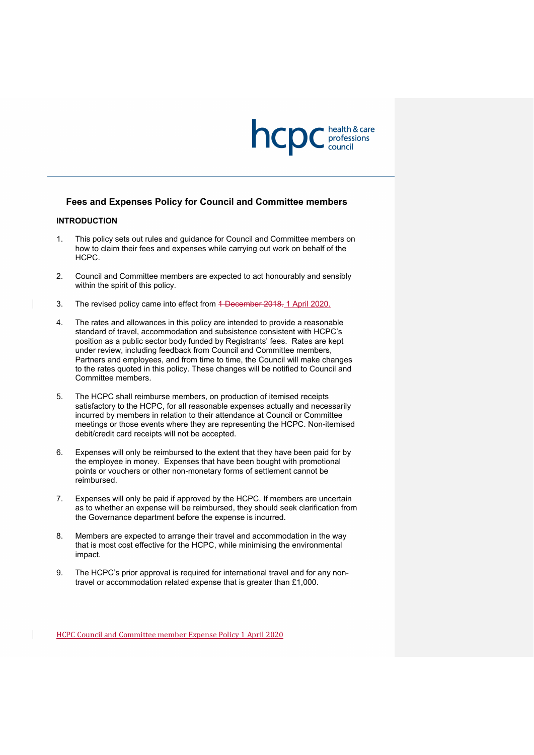

### **Fees and Expenses Policy for Council and Committee members**

#### **INTRODUCTION**

- 1. This policy sets out rules and guidance for Council and Committee members on how to claim their fees and expenses while carrying out work on behalf of the HCPC.
- 2. Council and Committee members are expected to act honourably and sensibly within the spirit of this policy.
- 3. The revised policy came into effect from 4 December 2018. 1 April 2020.
- 4. The rates and allowances in this policy are intended to provide a reasonable standard of travel, accommodation and subsistence consistent with HCPC's position as a public sector body funded by Registrants' fees. Rates are kept under review, including feedback from Council and Committee members, Partners and employees, and from time to time, the Council will make changes to the rates quoted in this policy. These changes will be notified to Council and Committee members.
- 5. The HCPC shall reimburse members, on production of itemised receipts satisfactory to the HCPC, for all reasonable expenses actually and necessarily incurred by members in relation to their attendance at Council or Committee meetings or those events where they are representing the HCPC. Non-itemised debit/credit card receipts will not be accepted.
- 6. Expenses will only be reimbursed to the extent that they have been paid for by the employee in money. Expenses that have been bought with promotional points or vouchers or other non-monetary forms of settlement cannot be reimbursed.
- 7. Expenses will only be paid if approved by the HCPC. If members are uncertain as to whether an expense will be reimbursed, they should seek clarification from the Governance department before the expense is incurred.
- 8. Members are expected to arrange their travel and accommodation in the way that is most cost effective for the HCPC, while minimising the environmental impact.
- 9. The HCPC's prior approval is required for international travel and for any nontravel or accommodation related expense that is greater than £1,000.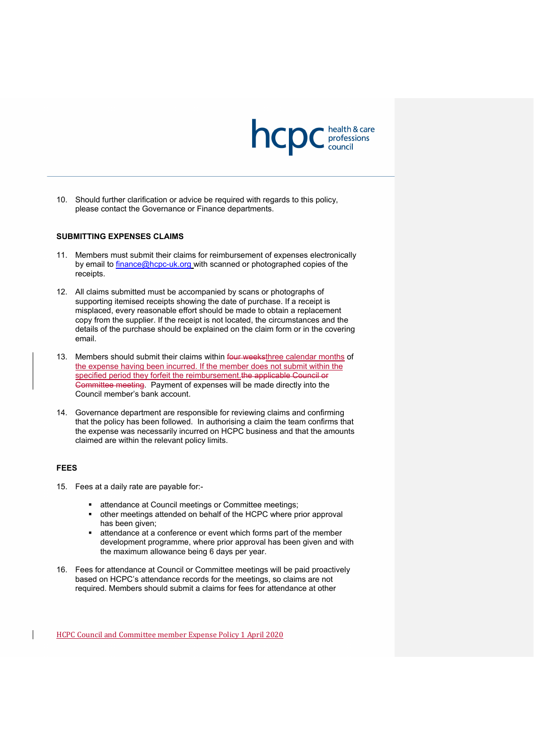

10. Should further clarification or advice be required with regards to this policy, please contact the Governance or Finance departments.

#### **SUBMITTING EXPENSES CLAIMS**

- 11. Members must submit their claims for reimbursement of expenses electronically by email to [finance@hcpc-uk.org](mailto:finance@hcpc-uk.org) with scanned or photographed copies of the receipts.
- 12. All claims submitted must be accompanied by scans or photographs of supporting itemised receipts showing the date of purchase. If a receipt is misplaced, every reasonable effort should be made to obtain a replacement copy from the supplier. If the receipt is not located, the circumstances and the details of the purchase should be explained on the claim form or in the covering email.
- 13. Members should submit their claims within four weeksthree calendar months of the expense having been incurred. If the member does not submit within the specified period they forfeit the reimbursement. the applicable Council or Committee meeting. Payment of expenses will be made directly into the Council member's bank account.
- 14. Governance department are responsible for reviewing claims and confirming that the policy has been followed. In authorising a claim the team confirms that the expense was necessarily incurred on HCPC business and that the amounts claimed are within the relevant policy limits.

#### **FEES**

- 15. Fees at a daily rate are payable for:
	- **attendance at Council meetings or Committee meetings;**
	- other meetings attended on behalf of the HCPC where prior approval has been given;
	- attendance at a conference or event which forms part of the member development programme, where prior approval has been given and with the maximum allowance being 6 days per year.
- 16. Fees for attendance at Council or Committee meetings will be paid proactively based on HCPC's attendance records for the meetings, so claims are not required. Members should submit a claims for fees for attendance at other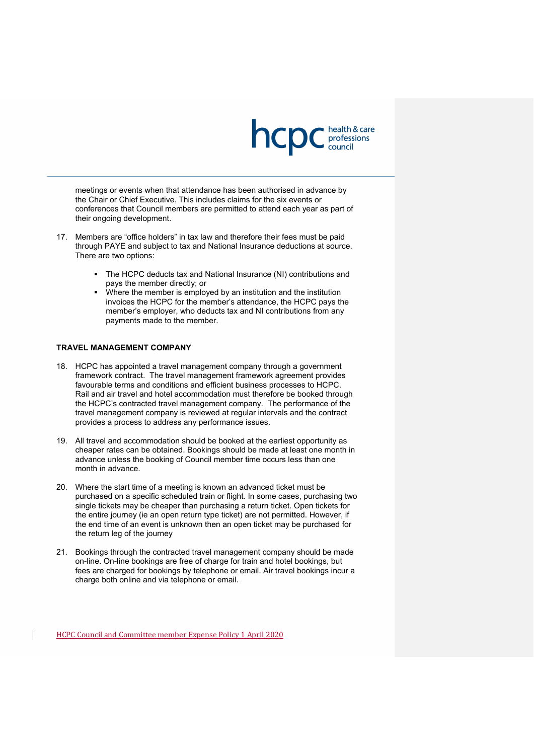

meetings or events when that attendance has been authorised in advance by the Chair or Chief Executive. This includes claims for the six events or conferences that Council members are permitted to attend each year as part of their ongoing development.

- 17. Members are "office holders" in tax law and therefore their fees must be paid through PAYE and subject to tax and National Insurance deductions at source. There are two options:
	- The HCPC deducts tax and National Insurance (NI) contributions and pays the member directly; or
	- Where the member is employed by an institution and the institution invoices the HCPC for the member's attendance, the HCPC pays the member's employer, who deducts tax and NI contributions from any payments made to the member.

### **TRAVEL MANAGEMENT COMPANY**

- 18. HCPC has appointed a travel management company through a government framework contract. The travel management framework agreement provides favourable terms and conditions and efficient business processes to HCPC. Rail and air travel and hotel accommodation must therefore be booked through the HCPC's contracted travel management company. The performance of the travel management company is reviewed at regular intervals and the contract provides a process to address any performance issues.
- 19. All travel and accommodation should be booked at the earliest opportunity as cheaper rates can be obtained. Bookings should be made at least one month in advance unless the booking of Council member time occurs less than one month in advance.
- 20. Where the start time of a meeting is known an advanced ticket must be purchased on a specific scheduled train or flight. In some cases, purchasing two single tickets may be cheaper than purchasing a return ticket. Open tickets for the entire journey (ie an open return type ticket) are not permitted. However, if the end time of an event is unknown then an open ticket may be purchased for the return leg of the journey
- 21. Bookings through the contracted travel management company should be made on-line. On-line bookings are free of charge for train and hotel bookings, but fees are charged for bookings by telephone or email. Air travel bookings incur a charge both online and via telephone or email.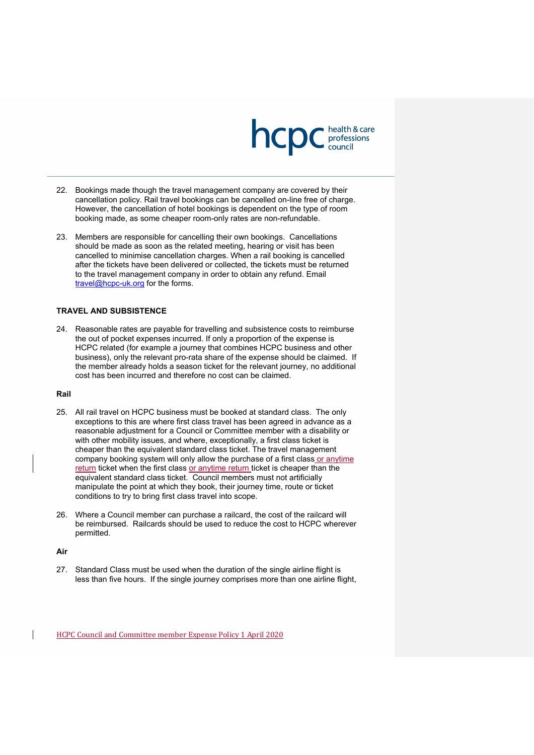

- 22. Bookings made though the travel management company are covered by their cancellation policy. Rail travel bookings can be cancelled on-line free of charge. However, the cancellation of hotel bookings is dependent on the type of room booking made, as some cheaper room-only rates are non-refundable.
- 23. Members are responsible for cancelling their own bookings. Cancellations should be made as soon as the related meeting, hearing or visit has been cancelled to minimise cancellation charges. When a rail booking is cancelled after the tickets have been delivered or collected, the tickets must be returned to the travel management company in order to obtain any refund. Email [travel@hcpc-uk.org](mailto:travel@hcpc-uk.org) for the forms.

### **TRAVEL AND SUBSISTENCE**

24. Reasonable rates are payable for travelling and subsistence costs to reimburse the out of pocket expenses incurred. If only a proportion of the expense is HCPC related (for example a journey that combines HCPC business and other business), only the relevant pro-rata share of the expense should be claimed. If the member already holds a season ticket for the relevant journey, no additional cost has been incurred and therefore no cost can be claimed.

#### **Rail**

- 25. All rail travel on HCPC business must be booked at standard class. The only exceptions to this are where first class travel has been agreed in advance as a reasonable adjustment for a Council or Committee member with a disability or with other mobility issues, and where, exceptionally, a first class ticket is cheaper than the equivalent standard class ticket. The travel management company booking system will only allow the purchase of a first class or anytime <u>return</u> ticket when the first class <u>or anytime return t</u>icket is cheaper than the equivalent standard class ticket. Council members must not artificially manipulate the point at which they book, their journey time, route or ticket conditions to try to bring first class travel into scope.
- 26. Where a Council member can purchase a railcard, the cost of the railcard will be reimbursed. Railcards should be used to reduce the cost to HCPC wherever permitted.

#### **Air**

27. Standard Class must be used when the duration of the single airline flight is less than five hours. If the single journey comprises more than one airline flight,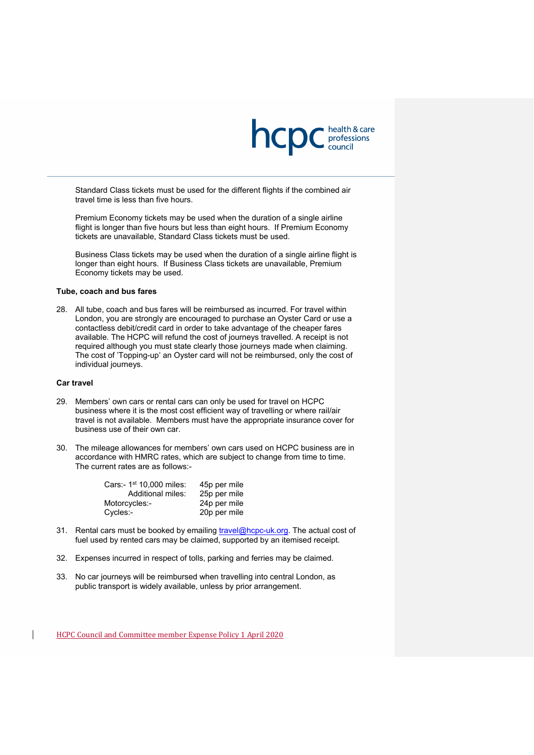

Standard Class tickets must be used for the different flights if the combined air travel time is less than five hours.

Premium Economy tickets may be used when the duration of a single airline flight is longer than five hours but less than eight hours. If Premium Economy tickets are unavailable, Standard Class tickets must be used.

Business Class tickets may be used when the duration of a single airline flight is longer than eight hours. If Business Class tickets are unavailable, Premium Economy tickets may be used.

#### **Tube, coach and bus fares**

28. All tube, coach and bus fares will be reimbursed as incurred. For travel within London, you are strongly are encouraged to purchase an Oyster Card or use a contactless debit/credit card in order to take advantage of the cheaper fares available. The HCPC will refund the cost of journeys travelled. A receipt is not required although you must state clearly those journeys made when claiming. The cost of 'Topping-up' an Oyster card will not be reimbursed, only the cost of individual journeys.

#### **Car travel**

- 29. Members' own cars or rental cars can only be used for travel on HCPC business where it is the most cost efficient way of travelling or where rail/air travel is not available. Members must have the appropriate insurance cover for business use of their own car.
- 30. The mileage allowances for members' own cars used on HCPC business are in accordance with HMRC rates, which are subject to change from time to time. The current rates are as follows:-

| 45p per mile |
|--------------|
| 25p per mile |
| 24p per mile |
| 20p per mile |
|              |

- 31. Rental cars must be booked by emailing [travel@hcpc-uk.org.](mailto:travel@hcpc-uk.org) The actual cost of fuel used by rented cars may be claimed, supported by an itemised receipt.
- 32. Expenses incurred in respect of tolls, parking and ferries may be claimed.
- 33. No car journeys will be reimbursed when travelling into central London, as public transport is widely available, unless by prior arrangement.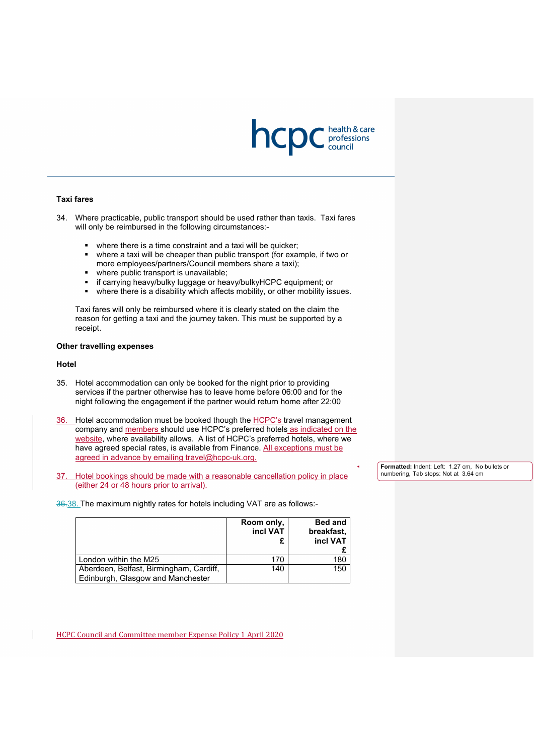

#### **Taxi fares**

34. Where practicable, public transport should be used rather than taxis. Taxi fares will only be reimbursed in the following circumstances:-

- where there is a time constraint and a taxi will be quicker;
- where a taxi will be cheaper than public transport (for example, if two or more employees/partners/Council members share a taxi);
- where public transport is unavailable;
- if carrying heavy/bulky luggage or heavy/bulkyHCPC equipment; or
- where there is a disability which affects mobility, or other mobility issues.

Taxi fares will only be reimbursed where it is clearly stated on the claim the reason for getting a taxi and the journey taken. This must be supported by a receipt.

#### **Other travelling expenses**

#### **Hotel**

- 35. Hotel accommodation can only be booked for the night prior to providing services if the partner otherwise has to leave home before 06:00 and for the night following the engagement if the partner would return home after 22:00
- 36. Hotel accommodation must be booked though the HCPC's travel management company and members should use HCPC's preferred hotels as indicated on the website, where availability allows. A list of HCPC's preferred hotels, where we have agreed special rates, is available from Finance. All exceptions must be agreed in advance by emailing [travel@hcpc-uk.org.](mailto:travel@hcpc-uk.org)
- 37. Hotel bookings should be made with a reasonable cancellation policy in place (either 24 or 48 hours prior to arrival).

36.38. The maximum nightly rates for hotels including VAT are as follows:-

|                                                                              | Room only,<br>incl VAT | <b>Bed and</b><br>breakfast.<br>incl VAT |
|------------------------------------------------------------------------------|------------------------|------------------------------------------|
| London within the M25                                                        | 170                    | 180                                      |
| Aberdeen, Belfast, Birmingham, Cardiff,<br>Edinburgh, Glasgow and Manchester | 140                    | 150                                      |

HCPC Council and Committee member Expense Policy 1 April 2020

**Formatted:** Indent: Left: 1.27 cm, No bullets or numbering, Tab stops: Not at 3.64 cm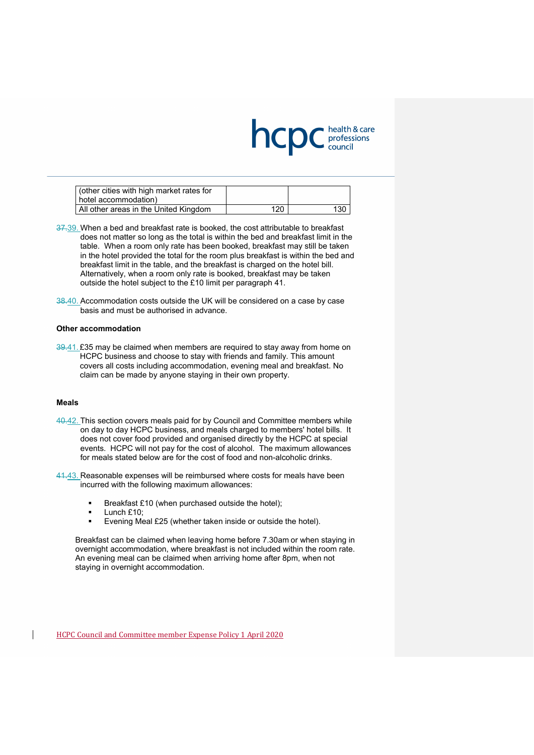

| (other cities with high market rates for<br>hotel accommodation) |     |     |
|------------------------------------------------------------------|-----|-----|
| All other areas in the United Kingdom                            | 120 | 130 |

- 37.39. When a bed and breakfast rate is booked, the cost attributable to breakfast does not matter so long as the total is within the bed and breakfast limit in the table. When a room only rate has been booked, breakfast may still be taken in the hotel provided the total for the room plus breakfast is within the bed and breakfast limit in the table, and the breakfast is charged on the hotel bill. Alternatively, when a room only rate is booked, breakfast may be taken outside the hotel subject to the £10 limit per paragraph [41.](#page-27-0)
- 38.40. Accommodation costs outside the UK will be considered on a case by case basis and must be authorised in advance.

#### **Other accommodation**

39.41. £35 may be claimed when members are required to stay away from home on HCPC business and choose to stay with friends and family. This amount covers all costs including accommodation, evening meal and breakfast. No claim can be made by anyone staying in their own property.

#### **Meals**

40.42. This section covers meals paid for by Council and Committee members while on day to day HCPC business, and meals charged to members' hotel bills. It does not cover food provided and organised directly by the HCPC at special events. HCPC will not pay for the cost of alcohol. The maximum allowances for meals stated below are for the cost of food and non-alcoholic drinks.

<span id="page-27-0"></span>41.43. Reasonable expenses will be reimbursed where costs for meals have been incurred with the following maximum allowances:

- Breakfast £10 (when purchased outside the hotel);
- **Lunch £10;**
- **Exenting Meal £25 (whether taken inside or outside the hotel).**

Breakfast can be claimed when leaving home before 7.30am or when staying in overnight accommodation, where breakfast is not included within the room rate. An evening meal can be claimed when arriving home after 8pm, when not staying in overnight accommodation.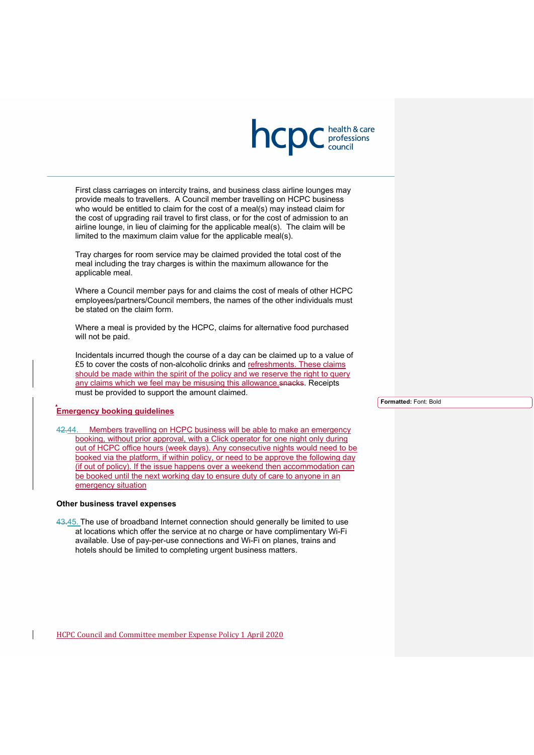

First class carriages on intercity trains, and business class airline lounges may provide meals to travellers. A Council member travelling on HCPC business who would be entitled to claim for the cost of a meal(s) may instead claim for the cost of upgrading rail travel to first class, or for the cost of admission to an airline lounge, in lieu of claiming for the applicable meal(s). The claim will be limited to the maximum claim value for the applicable meal(s).

Tray charges for room service may be claimed provided the total cost of the meal including the tray charges is within the maximum allowance for the applicable meal.

Where a Council member pays for and claims the cost of meals of other HCPC employees/partners/Council members, the names of the other individuals must be stated on the claim form.

Where a meal is provided by the HCPC, claims for alternative food purchased will not be paid.

Incidentals incurred though the course of a day can be claimed up to a value of £5 to cover the costs of non-alcoholic drinks and refreshments. These claims should be made within the spirit of the policy and we reserve the right to query any claims which we feel may be misusing this allowance snacks. Receipts must be provided to support the amount claimed.

### **Emergency booking guidelines**

42.44. Members travelling on HCPC business will be able to make an emergency booking, without prior approval, with a Click operator for one night only during out of HCPC office hours (week days). Any consecutive nights would need to be booked via the platform, if within policy, or need to be approve the following day (if out of policy). If the issue happens over a weekend then accommodation can be booked until the next working day to ensure duty of care to anyone in an emergency situation

#### **Other business travel expenses**

43.45. The use of broadband Internet connection should generally be limited to use at locations which offer the service at no charge or have complimentary Wi-Fi available. Use of pay-per-use connections and Wi-Fi on planes, trains and hotels should be limited to completing urgent business matters.

HCPC Council and Committee member Expense Policy 1 April 2020

**Formatted:** Font: Bold